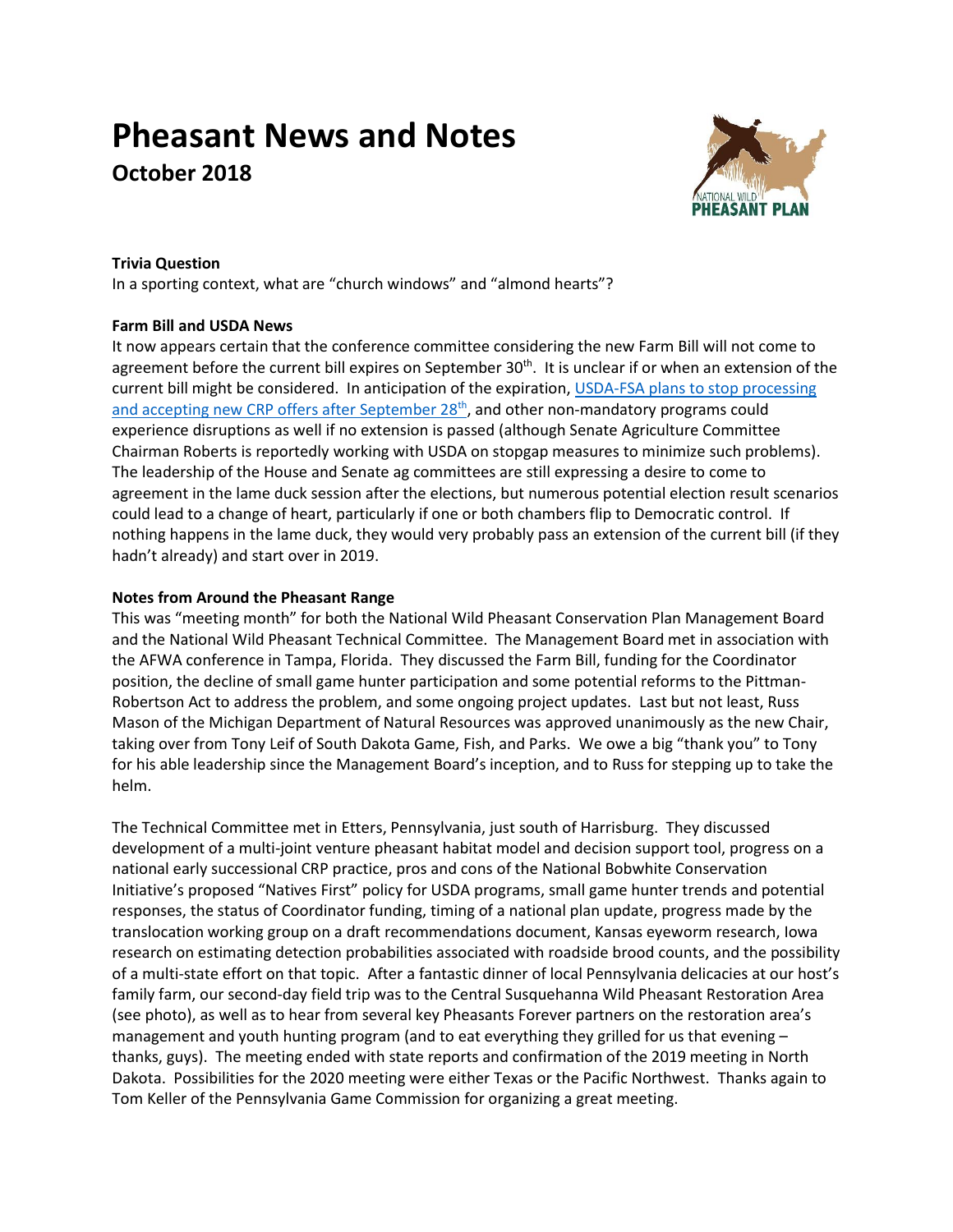# **Pheasant News and Notes October 2018**



### **Trivia Question**

In a sporting context, what are "church windows" and "almond hearts"?

## **Farm Bill and USDA News**

It now appears certain that the conference committee considering the new Farm Bill will not come to agreement before the current bill expires on September 30<sup>th</sup>. It is unclear if or when an extension of the current bill might be considered. In anticipation of the expiration, [USDA-FSA plans to stop processing](https://www.fsa.usda.gov/Internet/FSA_Notice/crp_860.pdf)  [and accepting new CRP offers after September 28](https://www.fsa.usda.gov/Internet/FSA_Notice/crp_860.pdf)<sup>th</sup>, and other non-mandatory programs could experience disruptions as well if no extension is passed (although Senate Agriculture Committee Chairman Roberts is reportedly working with USDA on stopgap measures to minimize such problems). The leadership of the House and Senate ag committees are still expressing a desire to come to agreement in the lame duck session after the elections, but numerous potential election result scenarios could lead to a change of heart, particularly if one or both chambers flip to Democratic control. If nothing happens in the lame duck, they would very probably pass an extension of the current bill (if they hadn't already) and start over in 2019.

## **Notes from Around the Pheasant Range**

This was "meeting month" for both the National Wild Pheasant Conservation Plan Management Board and the National Wild Pheasant Technical Committee. The Management Board met in association with the AFWA conference in Tampa, Florida. They discussed the Farm Bill, funding for the Coordinator position, the decline of small game hunter participation and some potential reforms to the Pittman-Robertson Act to address the problem, and some ongoing project updates. Last but not least, Russ Mason of the Michigan Department of Natural Resources was approved unanimously as the new Chair, taking over from Tony Leif of South Dakota Game, Fish, and Parks. We owe a big "thank you" to Tony for his able leadership since the Management Board's inception, and to Russ for stepping up to take the helm.

The Technical Committee met in Etters, Pennsylvania, just south of Harrisburg. They discussed development of a multi-joint venture pheasant habitat model and decision support tool, progress on a national early successional CRP practice, pros and cons of the National Bobwhite Conservation Initiative's proposed "Natives First" policy for USDA programs, small game hunter trends and potential responses, the status of Coordinator funding, timing of a national plan update, progress made by the translocation working group on a draft recommendations document, Kansas eyeworm research, Iowa research on estimating detection probabilities associated with roadside brood counts, and the possibility of a multi-state effort on that topic. After a fantastic dinner of local Pennsylvania delicacies at our host's family farm, our second-day field trip was to the Central Susquehanna Wild Pheasant Restoration Area (see photo), as well as to hear from several key Pheasants Forever partners on the restoration area's management and youth hunting program (and to eat everything they grilled for us that evening – thanks, guys). The meeting ended with state reports and confirmation of the 2019 meeting in North Dakota. Possibilities for the 2020 meeting were either Texas or the Pacific Northwest. Thanks again to Tom Keller of the Pennsylvania Game Commission for organizing a great meeting.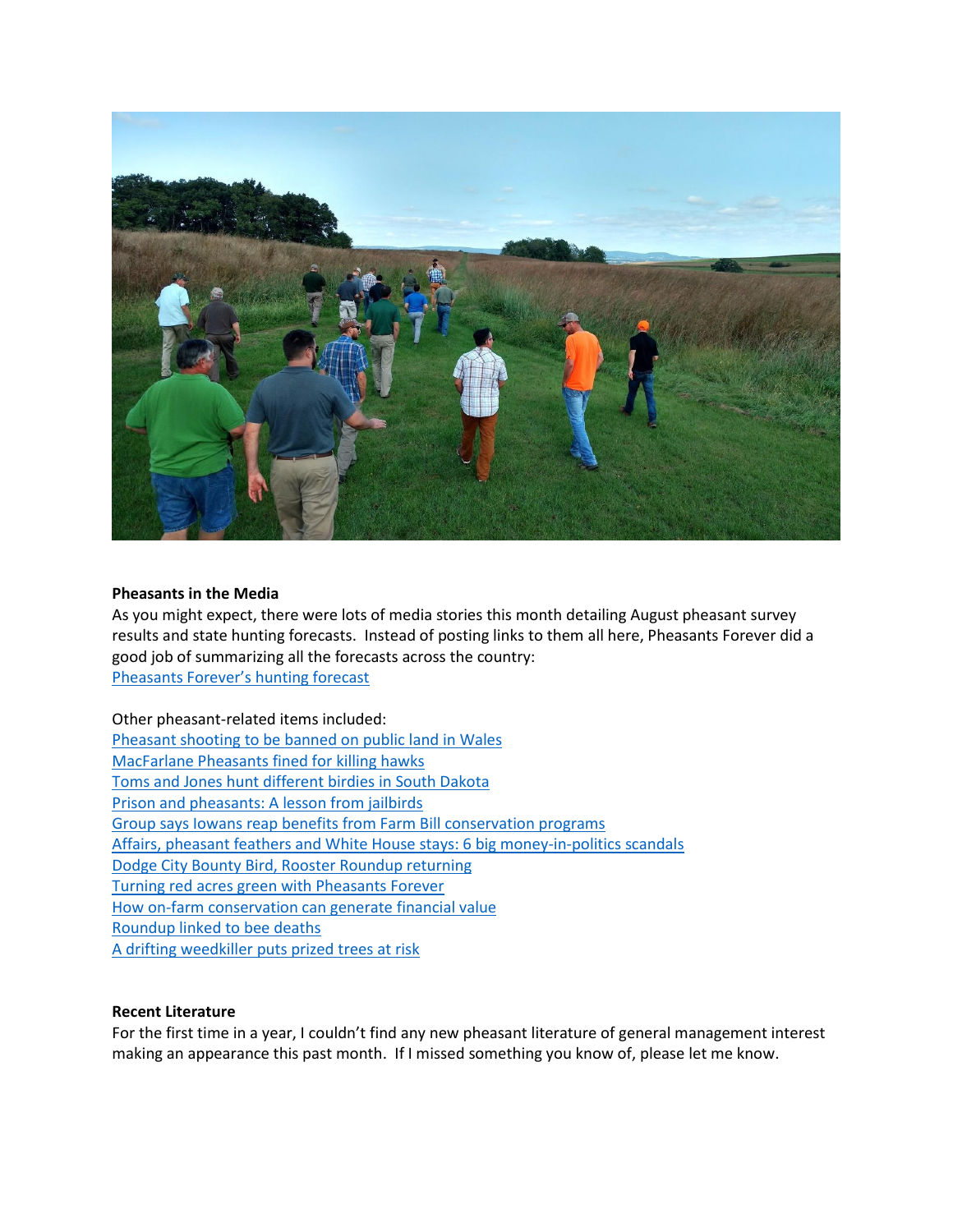

#### **Pheasants in the Media**

As you might expect, there were lots of media stories this month detailing August pheasant survey results and state hunting forecasts. Instead of posting links to them all here, Pheasants Forever did a good job of summarizing all the forecasts across the country: [Pheasants Forever's hunting forecast](https://www.pheasantsforever.org/Hunt/State-Forecasts.aspx)

Other pheasant-related items included: [Pheasant shooting to be banned on public land in Wales](https://www.telegraph.co.uk/news/2018/09/20/pheasants-wales/) [MacFarlane Pheasants fined for killing hawks](http://www.beloitdailynews.com/local_news/20180830/pheasant_farm_fined_for_killing_hawks) [Toms and Jones hunt different birdies in South Dakota](https://www.golfchannel.com/video/toms-and-jones-hunt-different-birdies-south-dakota/) [Prison and pheasants: A lesson from jailbirds](http://spectrumlocalnews.com/nys/buffalo/news/2018/09/24/erie-county-correctional-facility-inmates-take-lessons-from-pheasants) [Group says Iowans reap benefits from Farm Bill conservation programs](https://kelo.com/news/articles/2018/sep/24/groups-says-iowans-reap-benefits-from-farm-bill-conservation-programs/) [Affairs, pheasant feathers and White House stays: 6 big money-in-politics scandals](https://www.nytimes.com/2018/09/09/us/politics/money-politics-corruption-scandal.html) [Dodge City Bounty Bird, Rooster Roundup returning](http://www.dodgeglobe.com/news/20180907/bounty-bird-rooster-roundup-returning) [Turning red acres green with Pheasants Forever](https://www.dakotafarmer.com/crops/turning-red-acres-green-pheasants-forever) [How on-farm conservation can generate financial value](https://www.edf.org/ecosystems/how-farm-conservation-can-generate-financial-value?utm_source=vocus&utm_campaign=expert_none_upd_eco&utm_medium=email&utm_id=1536252436&utm_content=hk) [Roundup linked to bee deaths](https://phys.org/news/2018-09-common-weed-killer-linked-bee.html) [A drifting weedkiller puts](https://www.npr.org/sections/thesalt/2018/09/27/651262491/a-drifting-weedkiller-puts-prized-trees-at-risk) prized trees at risk

#### **Recent Literature**

For the first time in a year, I couldn't find any new pheasant literature of general management interest making an appearance this past month. If I missed something you know of, please let me know.